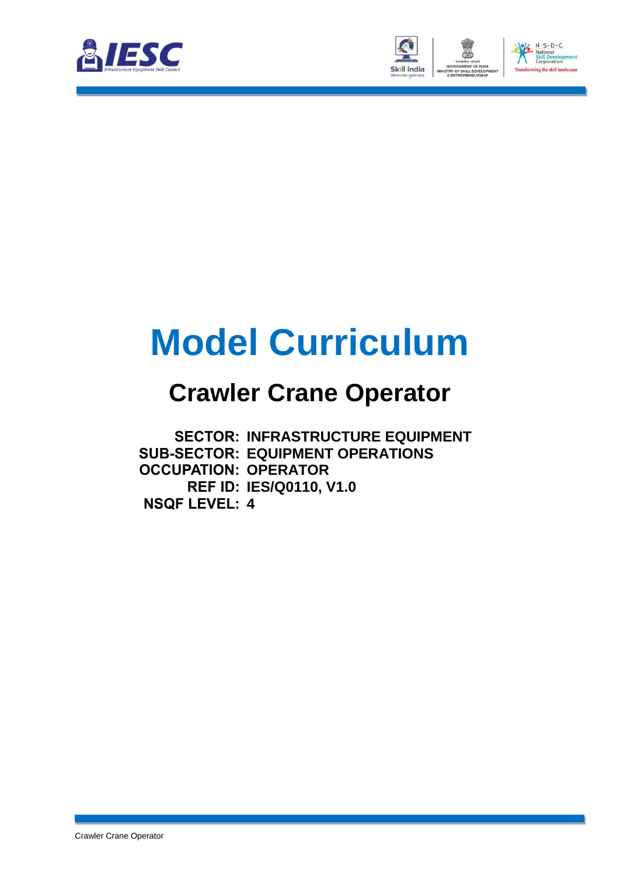



# **Model Curriculum**

### **Crawler Crane Operator**

**SECTOR: INFRASTRUCTURE EQUIPMENT SUB-SECTOR: EQUIPMENT OPERATIONS OCCUPATION: OPERATOR REF ID: IES/Q0110, V1.0 NSQF LEVEL: 4**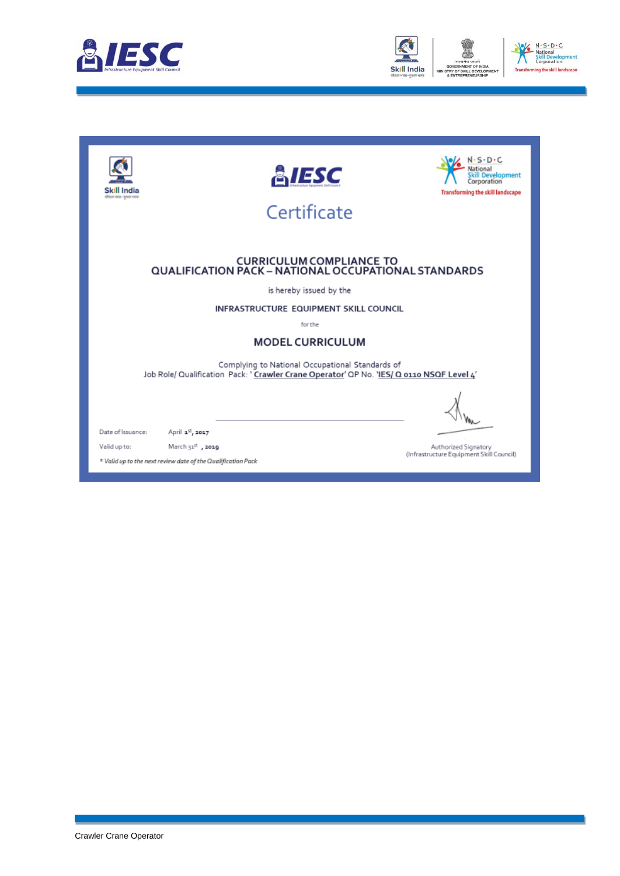



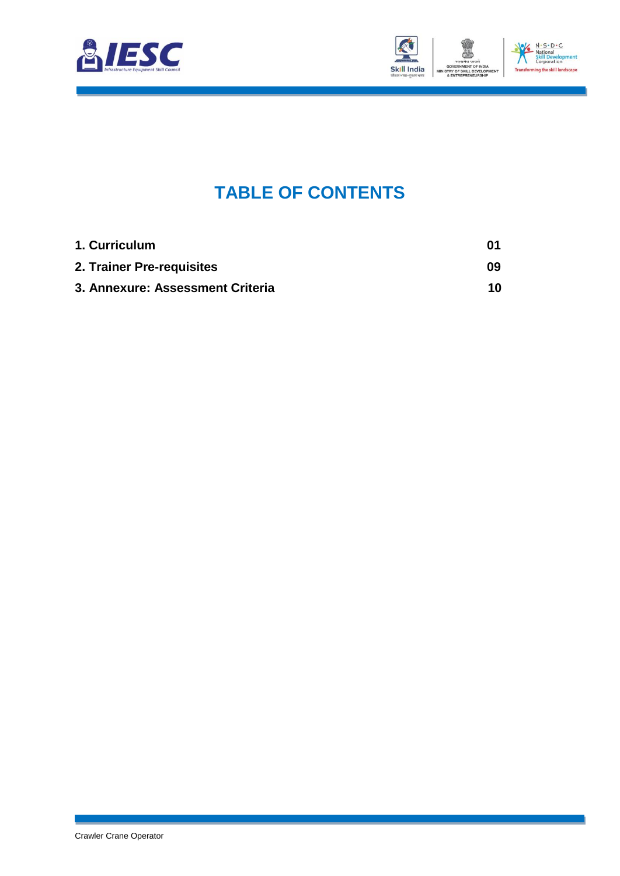



### **TABLE OF CONTENTS**

<span id="page-2-2"></span><span id="page-2-1"></span><span id="page-2-0"></span>

| 1. Curriculum                    | 01 |
|----------------------------------|----|
| 2. Trainer Pre-requisites        | 09 |
| 3. Annexure: Assessment Criteria | 10 |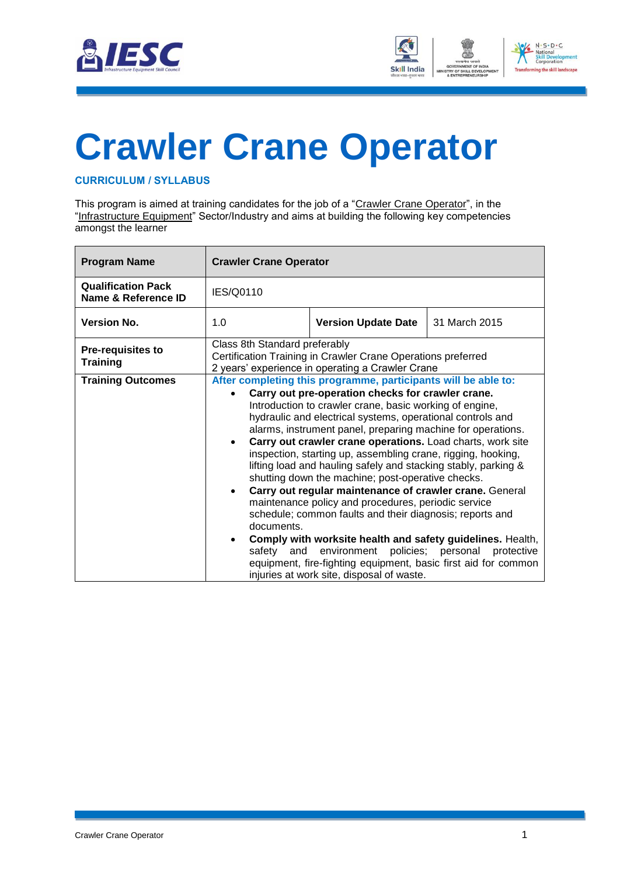



## <span id="page-3-0"></span>**[Crawler Crane](#page-2-0) Operator**

#### **CURRICULUM / SYLLABUS**

This program is aimed at training candidates for the job of a "Crawler Crane Operator", in the "Infrastructure Equipment" Sector/Industry and aims at building the following key competencies amongst the learner

| <b>Program Name</b>                              | <b>Crawler Crane Operator</b>                                                                                                                     |                                                                                                                                                                                                                                                                                                                                                                                                                                                                                                                                                                                                                                                                                                                                                                                                                                                                                                                                            |                                  |
|--------------------------------------------------|---------------------------------------------------------------------------------------------------------------------------------------------------|--------------------------------------------------------------------------------------------------------------------------------------------------------------------------------------------------------------------------------------------------------------------------------------------------------------------------------------------------------------------------------------------------------------------------------------------------------------------------------------------------------------------------------------------------------------------------------------------------------------------------------------------------------------------------------------------------------------------------------------------------------------------------------------------------------------------------------------------------------------------------------------------------------------------------------------------|----------------------------------|
| <b>Qualification Pack</b><br>Name & Reference ID | IES/Q0110                                                                                                                                         |                                                                                                                                                                                                                                                                                                                                                                                                                                                                                                                                                                                                                                                                                                                                                                                                                                                                                                                                            |                                  |
| <b>Version No.</b>                               | 1.0                                                                                                                                               | <b>Version Update Date</b>                                                                                                                                                                                                                                                                                                                                                                                                                                                                                                                                                                                                                                                                                                                                                                                                                                                                                                                 | 31 March 2015                    |
| <b>Pre-requisites to</b><br><b>Training</b>      | Class 8th Standard preferably<br>Certification Training in Crawler Crane Operations preferred<br>2 years' experience in operating a Crawler Crane |                                                                                                                                                                                                                                                                                                                                                                                                                                                                                                                                                                                                                                                                                                                                                                                                                                                                                                                                            |                                  |
| <b>Training Outcomes</b>                         | $\bullet$<br>documents.<br>$\bullet$<br>safetv<br>and                                                                                             | After completing this programme, participants will be able to:<br>Carry out pre-operation checks for crawler crane.<br>Introduction to crawler crane, basic working of engine,<br>hydraulic and electrical systems, operational controls and<br>alarms, instrument panel, preparing machine for operations.<br>Carry out crawler crane operations. Load charts, work site<br>inspection, starting up, assembling crane, rigging, hooking,<br>lifting load and hauling safely and stacking stably, parking &<br>shutting down the machine; post-operative checks.<br>Carry out regular maintenance of crawler crane. General<br>maintenance policy and procedures, periodic service<br>schedule; common faults and their diagnosis; reports and<br>Comply with worksite health and safety guidelines. Health,<br>environment<br>equipment, fire-fighting equipment, basic first aid for common<br>injuries at work site, disposal of waste. | policies; personal<br>protective |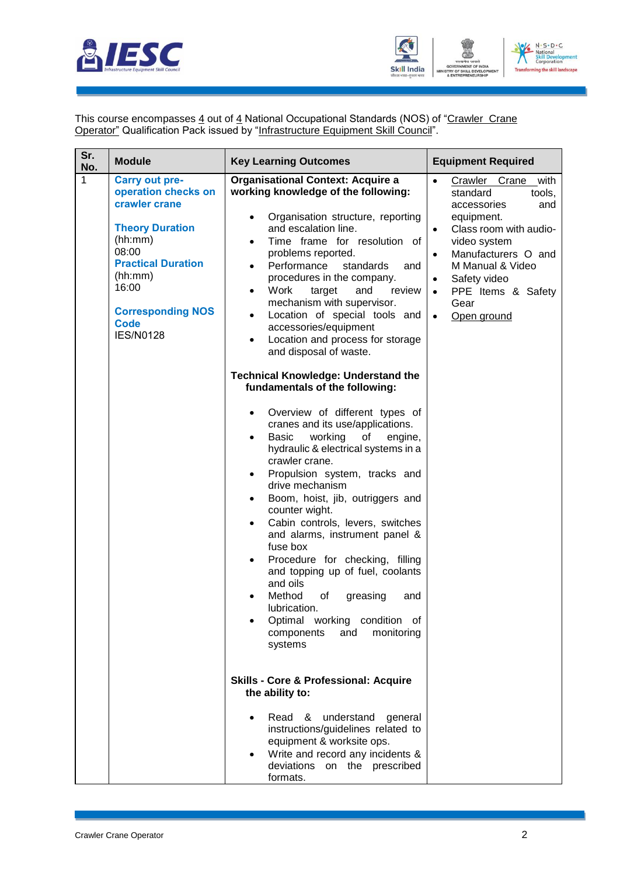



This course encompasses <u>4</u> out of <u>4</u> National Occupational Standards (NOS) of "Crawler Crane **Operator**" Qualification Pack issued by "Infrastructure Equipment Skill Council".

| Sr.<br>No. | <b>Module</b>                                                                                                                                                                                                               | <b>Key Learning Outcomes</b>                                                                                                                                                                                                                                                                                                                                                                                                                                                                                                                                                                                                                                                                                                                                                                                                                                                                                                                                                                                                                                                                                                                                                                                                                                                              | <b>Equipment Required</b>                                                                                                                                                                                                                                                                       |
|------------|-----------------------------------------------------------------------------------------------------------------------------------------------------------------------------------------------------------------------------|-------------------------------------------------------------------------------------------------------------------------------------------------------------------------------------------------------------------------------------------------------------------------------------------------------------------------------------------------------------------------------------------------------------------------------------------------------------------------------------------------------------------------------------------------------------------------------------------------------------------------------------------------------------------------------------------------------------------------------------------------------------------------------------------------------------------------------------------------------------------------------------------------------------------------------------------------------------------------------------------------------------------------------------------------------------------------------------------------------------------------------------------------------------------------------------------------------------------------------------------------------------------------------------------|-------------------------------------------------------------------------------------------------------------------------------------------------------------------------------------------------------------------------------------------------------------------------------------------------|
| 1          | <b>Carry out pre-</b><br>operation checks on<br>crawler crane<br><b>Theory Duration</b><br>(hh:mm)<br>08:00<br><b>Practical Duration</b><br>(hh:mm)<br>16:00<br><b>Corresponding NOS</b><br><b>Code</b><br><b>IES/N0128</b> | <b>Organisational Context: Acquire a</b><br>working knowledge of the following:<br>Organisation structure, reporting<br>and escalation line.<br>Time frame for resolution of<br>$\bullet$<br>problems reported.<br>Performance<br>standards<br>and<br>$\bullet$<br>procedures in the company.<br>Work<br>target<br>and<br>review<br>$\bullet$<br>mechanism with supervisor.<br>Location of special tools and<br>$\bullet$<br>accessories/equipment<br>Location and process for storage<br>$\bullet$<br>and disposal of waste.<br><b>Technical Knowledge: Understand the</b><br>fundamentals of the following:<br>Overview of different types of<br>$\bullet$<br>cranes and its use/applications.<br><b>Basic</b><br>working<br>of<br>engine,<br>$\bullet$<br>hydraulic & electrical systems in a<br>crawler crane.<br>Propulsion system, tracks and<br>$\bullet$<br>drive mechanism<br>Boom, hoist, jib, outriggers and<br>$\bullet$<br>counter wight.<br>Cabin controls, levers, switches<br>$\bullet$<br>and alarms, instrument panel &<br>fuse box<br>Procedure for checking, filling<br>$\bullet$<br>and topping up of fuel, coolants<br>and oils<br>Method<br>of<br>greasing<br>and<br>lubrication.<br>Optimal working<br>condition of<br>components<br>and<br>monitoring<br>systems | $\bullet$<br>Crawler Crane with<br>standard<br>tools,<br>accessories<br>and<br>equipment.<br>Class room with audio-<br>$\bullet$<br>video system<br>Manufacturers O and<br>M Manual & Video<br>Safety video<br>$\bullet$<br>PPE Items & Safety<br>$\bullet$<br>Gear<br>Open ground<br>$\bullet$ |
|            |                                                                                                                                                                                                                             | <b>Skills - Core &amp; Professional: Acquire</b><br>the ability to:                                                                                                                                                                                                                                                                                                                                                                                                                                                                                                                                                                                                                                                                                                                                                                                                                                                                                                                                                                                                                                                                                                                                                                                                                       |                                                                                                                                                                                                                                                                                                 |
|            |                                                                                                                                                                                                                             | Read &<br>understand<br>general<br>instructions/guidelines related to<br>equipment & worksite ops.<br>Write and record any incidents &<br>deviations on the prescribed<br>formats.                                                                                                                                                                                                                                                                                                                                                                                                                                                                                                                                                                                                                                                                                                                                                                                                                                                                                                                                                                                                                                                                                                        |                                                                                                                                                                                                                                                                                                 |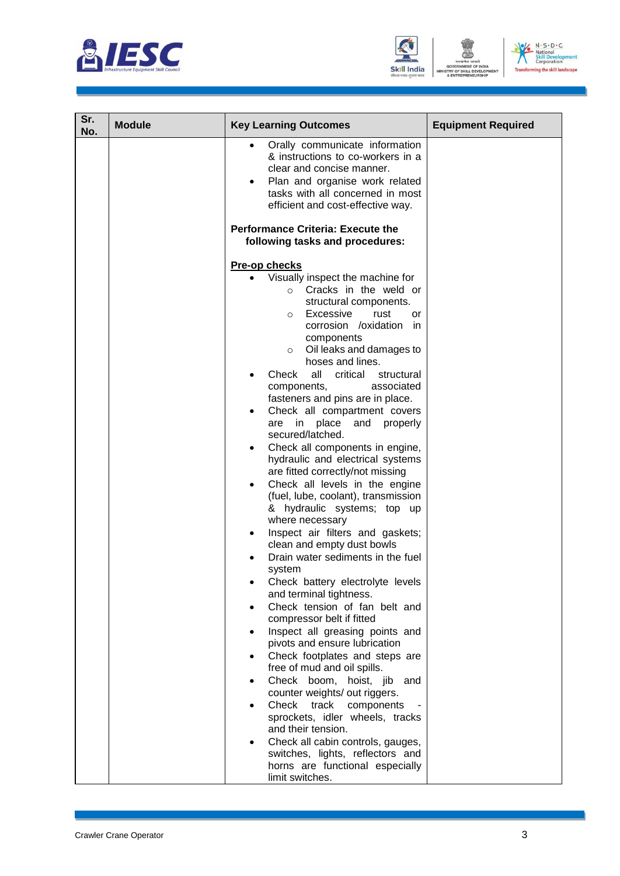





| Sr.<br>No. | <b>Module</b> | <b>Key Learning Outcomes</b>                                                                                                                                                                                                                                                                                                                                                                                                                                                                                                                                                                                                                                                                                                                                                                                                                                                                                                                                                                                                                                                                                                                                                                                                                                                                                        | <b>Equipment Required</b> |
|------------|---------------|---------------------------------------------------------------------------------------------------------------------------------------------------------------------------------------------------------------------------------------------------------------------------------------------------------------------------------------------------------------------------------------------------------------------------------------------------------------------------------------------------------------------------------------------------------------------------------------------------------------------------------------------------------------------------------------------------------------------------------------------------------------------------------------------------------------------------------------------------------------------------------------------------------------------------------------------------------------------------------------------------------------------------------------------------------------------------------------------------------------------------------------------------------------------------------------------------------------------------------------------------------------------------------------------------------------------|---------------------------|
|            |               | Orally communicate information<br>& instructions to co-workers in a<br>clear and concise manner.<br>Plan and organise work related<br>tasks with all concerned in most<br>efficient and cost-effective way.                                                                                                                                                                                                                                                                                                                                                                                                                                                                                                                                                                                                                                                                                                                                                                                                                                                                                                                                                                                                                                                                                                         |                           |
|            |               | <b>Performance Criteria: Execute the</b><br>following tasks and procedures:                                                                                                                                                                                                                                                                                                                                                                                                                                                                                                                                                                                                                                                                                                                                                                                                                                                                                                                                                                                                                                                                                                                                                                                                                                         |                           |
|            |               | <b>Pre-op checks</b><br>Visually inspect the machine for<br>Cracks in the weld or<br>$\circ$<br>structural components.<br>Excessive<br>rust<br>or<br>$\circ$<br>corrosion /oxidation in<br>components<br>Oil leaks and damages to<br>$\circ$<br>hoses and lines.<br>Check all critical<br>structural<br>associated<br>components,<br>fasteners and pins are in place.<br>Check all compartment covers<br>are in place<br>and<br>properly<br>secured/latched.<br>Check all components in engine,<br>$\bullet$<br>hydraulic and electrical systems<br>are fitted correctly/not missing<br>Check all levels in the engine<br>$\bullet$<br>(fuel, lube, coolant), transmission<br>& hydraulic systems; top up<br>where necessary<br>Inspect air filters and gaskets;<br>clean and empty dust bowls<br>Drain water sediments in the fuel<br>system<br>Check battery electrolyte levels<br>and terminal tightness.<br>Check tension of fan belt and<br>compressor belt if fitted<br>Inspect all greasing points and<br>$\bullet$<br>pivots and ensure lubrication<br>Check footplates and steps are<br>free of mud and oil spills.<br>Check boom, hoist, jib and<br>counter weights/ out riggers.<br>Check track components<br>sprockets, idler wheels, tracks<br>and their tension.<br>Check all cabin controls, gauges, |                           |
|            |               | switches, lights, reflectors and<br>horns are functional especially<br>limit switches.                                                                                                                                                                                                                                                                                                                                                                                                                                                                                                                                                                                                                                                                                                                                                                                                                                                                                                                                                                                                                                                                                                                                                                                                                              |                           |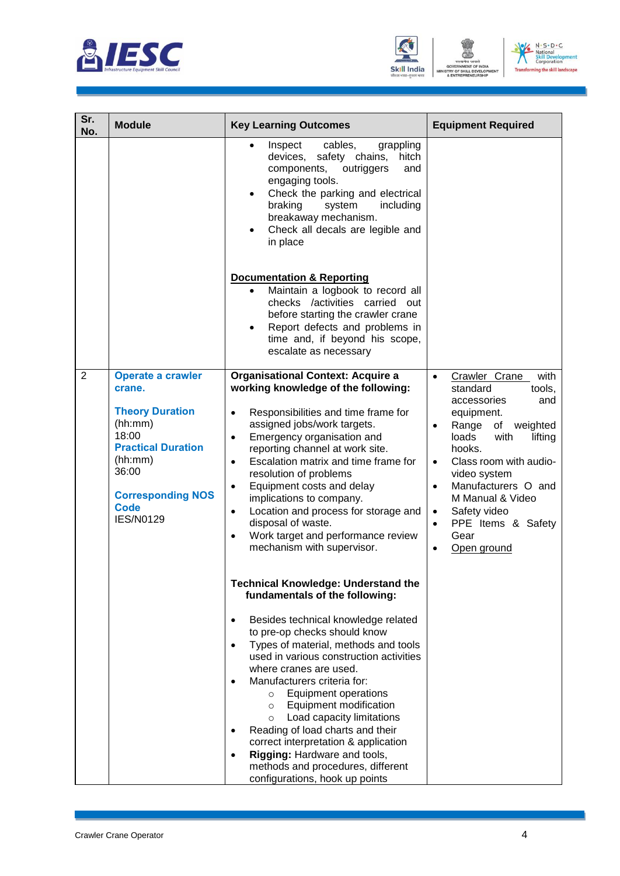





| Sr.<br><b>Module</b><br>No.                                                                                                                                                                                 | <b>Key Learning Outcomes</b>                                                                                                                                                                                                                                                                                                                                                                                                                                                                                                                                                                                                                                                                                                                                                                                                                                                                                                                                                                                                                                                                                                                                           | <b>Equipment Required</b>                                                                                                                                                                                                                                                                                                                                                               |
|-------------------------------------------------------------------------------------------------------------------------------------------------------------------------------------------------------------|------------------------------------------------------------------------------------------------------------------------------------------------------------------------------------------------------------------------------------------------------------------------------------------------------------------------------------------------------------------------------------------------------------------------------------------------------------------------------------------------------------------------------------------------------------------------------------------------------------------------------------------------------------------------------------------------------------------------------------------------------------------------------------------------------------------------------------------------------------------------------------------------------------------------------------------------------------------------------------------------------------------------------------------------------------------------------------------------------------------------------------------------------------------------|-----------------------------------------------------------------------------------------------------------------------------------------------------------------------------------------------------------------------------------------------------------------------------------------------------------------------------------------------------------------------------------------|
|                                                                                                                                                                                                             | grappling<br>Inspect<br>cables,<br>devices, safety chains,<br>hitch<br>components,<br>outriggers<br>and<br>engaging tools.<br>Check the parking and electrical<br>$\bullet$<br>system<br>including<br>braking<br>breakaway mechanism.<br>Check all decals are legible and<br>$\bullet$<br>in place                                                                                                                                                                                                                                                                                                                                                                                                                                                                                                                                                                                                                                                                                                                                                                                                                                                                     |                                                                                                                                                                                                                                                                                                                                                                                         |
|                                                                                                                                                                                                             | <b>Documentation &amp; Reporting</b><br>Maintain a logbook to record all<br>checks /activities carried out<br>before starting the crawler crane<br>Report defects and problems in<br>time and, if beyond his scope,<br>escalate as necessary                                                                                                                                                                                                                                                                                                                                                                                                                                                                                                                                                                                                                                                                                                                                                                                                                                                                                                                           |                                                                                                                                                                                                                                                                                                                                                                                         |
| $\overline{2}$<br>Operate a crawler<br>crane.<br><b>Theory Duration</b><br>(hh:mm)<br>18:00<br><b>Practical Duration</b><br>(hh:mm)<br>36:00<br><b>Corresponding NOS</b><br><b>Code</b><br><b>IES/N0129</b> | <b>Organisational Context: Acquire a</b><br>working knowledge of the following:<br>Responsibilities and time frame for<br>$\bullet$<br>assigned jobs/work targets.<br>Emergency organisation and<br>$\bullet$<br>reporting channel at work site.<br>Escalation matrix and time frame for<br>$\bullet$<br>resolution of problems<br>Equipment costs and delay<br>$\bullet$<br>implications to company.<br>Location and process for storage and<br>$\bullet$<br>disposal of waste.<br>Work target and performance review<br>$\bullet$<br>mechanism with supervisor.<br><b>Technical Knowledge: Understand the</b><br>fundamentals of the following:<br>Besides technical knowledge related<br>$\bullet$<br>to pre-op checks should know<br>Types of material, methods and tools<br>used in various construction activities<br>where cranes are used.<br>Manufacturers criteria for:<br><b>Equipment operations</b><br>$\circ$<br>Equipment modification<br>$\circ$<br>Load capacity limitations<br>$\circ$<br>Reading of load charts and their<br>correct interpretation & application<br>Rigging: Hardware and tools,<br>$\bullet$<br>methods and procedures, different | with<br>Crawler Crane<br>$\bullet$<br>standard<br>tools,<br>accessories<br>and<br>equipment.<br>Range of weighted<br>$\bullet$<br>lifting<br>loads<br>with<br>hooks.<br>Class room with audio-<br>$\bullet$<br>video system<br>Manufacturers O and<br>$\bullet$<br>M Manual & Video<br>Safety video<br>$\bullet$<br>PPE Items & Safety<br>$\bullet$<br>Gear<br>Open ground<br>$\bullet$ |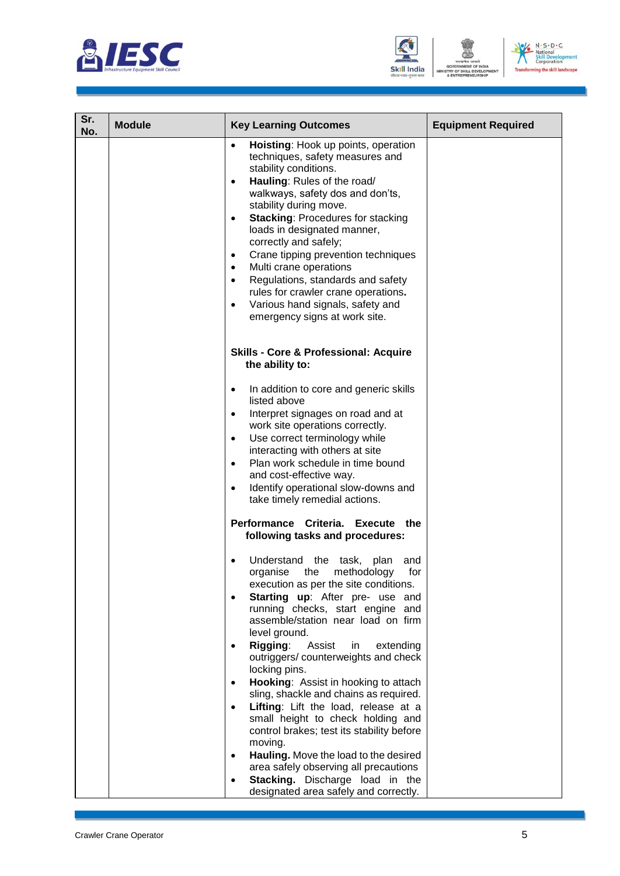





| Sr.<br>No. | <b>Module</b> | <b>Key Learning Outcomes</b>                                                                                                                                                                                                                                                                                                                                                                                                                                                                                                                                                                                  | <b>Equipment Required</b> |
|------------|---------------|---------------------------------------------------------------------------------------------------------------------------------------------------------------------------------------------------------------------------------------------------------------------------------------------------------------------------------------------------------------------------------------------------------------------------------------------------------------------------------------------------------------------------------------------------------------------------------------------------------------|---------------------------|
|            |               | Hoisting: Hook up points, operation<br>$\bullet$<br>techniques, safety measures and<br>stability conditions.<br>Hauling: Rules of the road/<br>$\bullet$<br>walkways, safety dos and don'ts,<br>stability during move.<br><b>Stacking: Procedures for stacking</b><br>$\bullet$<br>loads in designated manner,<br>correctly and safely;<br>Crane tipping prevention techniques<br>$\bullet$<br>Multi crane operations<br>$\bullet$<br>Regulations, standards and safety<br>$\bullet$<br>rules for crawler crane operations.<br>Various hand signals, safety and<br>$\bullet$<br>emergency signs at work site. |                           |
|            |               | <b>Skills - Core &amp; Professional: Acquire</b><br>the ability to:                                                                                                                                                                                                                                                                                                                                                                                                                                                                                                                                           |                           |
|            |               | In addition to core and generic skills<br>$\bullet$<br>listed above<br>Interpret signages on road and at<br>$\bullet$<br>work site operations correctly.<br>Use correct terminology while<br>$\bullet$<br>interacting with others at site<br>Plan work schedule in time bound<br>$\bullet$<br>and cost-effective way.<br>Identify operational slow-downs and<br>$\bullet$<br>take timely remedial actions.<br>Performance Criteria. Execute the                                                                                                                                                               |                           |
|            |               | following tasks and procedures:<br>Understand the task,<br>plan<br>and<br>methodology<br>organise<br>the<br>for<br>execution as per the site conditions.<br>Starting up: After pre- use and<br>$\bullet$<br>running checks, start engine and<br>assemble/station near load on firm<br>level ground.<br>Rigging:<br>Assist<br>in<br>extending<br>outriggers/counterweights and check<br>locking pins.<br>Hooking: Assist in hooking to attach<br>sling, shackle and chains as required.<br>Lifting: Lift the load, release at a                                                                                |                           |
|            |               | small height to check holding and<br>control brakes; test its stability before<br>moving.<br>Hauling. Move the load to the desired<br>$\bullet$<br>area safely observing all precautions<br>Stacking. Discharge load in the<br>$\bullet$<br>designated area safely and correctly.                                                                                                                                                                                                                                                                                                                             |                           |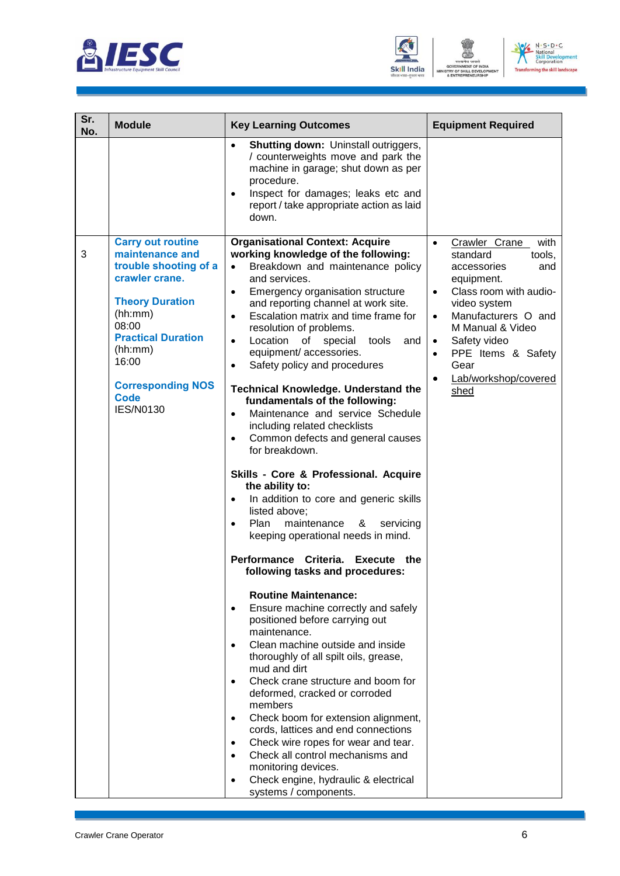





| Sr.<br>No. | <b>Module</b>                                                                                                                                                                                                                                        | <b>Key Learning Outcomes</b>                                                                                                                                                                                                                                                                                                                                                                                                                                                                                                                                                                                                                                                                                                                                                                                                                                                                                                                                                                                                                                                                                                                                                                                                                                                                                                                                                                                                                                                                                                                                                                                      | <b>Equipment Required</b>                                                                                                                                                                                                                                                                                           |
|------------|------------------------------------------------------------------------------------------------------------------------------------------------------------------------------------------------------------------------------------------------------|-------------------------------------------------------------------------------------------------------------------------------------------------------------------------------------------------------------------------------------------------------------------------------------------------------------------------------------------------------------------------------------------------------------------------------------------------------------------------------------------------------------------------------------------------------------------------------------------------------------------------------------------------------------------------------------------------------------------------------------------------------------------------------------------------------------------------------------------------------------------------------------------------------------------------------------------------------------------------------------------------------------------------------------------------------------------------------------------------------------------------------------------------------------------------------------------------------------------------------------------------------------------------------------------------------------------------------------------------------------------------------------------------------------------------------------------------------------------------------------------------------------------------------------------------------------------------------------------------------------------|---------------------------------------------------------------------------------------------------------------------------------------------------------------------------------------------------------------------------------------------------------------------------------------------------------------------|
|            |                                                                                                                                                                                                                                                      | <b>Shutting down: Uninstall outriggers,</b><br>$\bullet$<br>/ counterweights move and park the<br>machine in garage; shut down as per<br>procedure.<br>Inspect for damages; leaks etc and<br>$\bullet$<br>report / take appropriate action as laid<br>down.                                                                                                                                                                                                                                                                                                                                                                                                                                                                                                                                                                                                                                                                                                                                                                                                                                                                                                                                                                                                                                                                                                                                                                                                                                                                                                                                                       |                                                                                                                                                                                                                                                                                                                     |
| 3          | <b>Carry out routine</b><br>maintenance and<br>trouble shooting of a<br>crawler crane.<br><b>Theory Duration</b><br>(hh:mm)<br>08:00<br><b>Practical Duration</b><br>(hh:mm)<br>16:00<br><b>Corresponding NOS</b><br><b>Code</b><br><b>IES/N0130</b> | <b>Organisational Context: Acquire</b><br>working knowledge of the following:<br>Breakdown and maintenance policy<br>and services.<br>Emergency organisation structure<br>$\bullet$<br>and reporting channel at work site.<br>Escalation matrix and time frame for<br>$\bullet$<br>resolution of problems.<br>Location<br>of special<br>tools<br>and<br>$\bullet$<br>equipment/ accessories.<br>Safety policy and procedures<br>٠<br><b>Technical Knowledge. Understand the</b><br>fundamentals of the following:<br>Maintenance and service Schedule<br>$\bullet$<br>including related checklists<br>Common defects and general causes<br>$\bullet$<br>for breakdown.<br>Skills - Core & Professional. Acquire<br>the ability to:<br>In addition to core and generic skills<br>$\bullet$<br>listed above;<br>Plan<br>maintenance<br>&<br>servicing<br>keeping operational needs in mind.<br><b>Performance</b><br>Criteria.<br><b>Execute</b><br>the<br>following tasks and procedures:<br><b>Routine Maintenance:</b><br>Ensure machine correctly and safely<br>positioned before carrying out<br>maintenance.<br>Clean machine outside and inside<br>$\bullet$<br>thoroughly of all spilt oils, grease,<br>mud and dirt<br>Check crane structure and boom for<br>$\bullet$<br>deformed, cracked or corroded<br>members<br>Check boom for extension alignment,<br>$\bullet$<br>cords, lattices and end connections<br>Check wire ropes for wear and tear.<br>$\bullet$<br>Check all control mechanisms and<br>$\bullet$<br>monitoring devices.<br>Check engine, hydraulic & electrical<br>systems / components. | with<br>Crawler Crane<br>$\bullet$<br>standard<br>tools,<br>and<br>accessories<br>equipment.<br>Class room with audio-<br>$\bullet$<br>video system<br>Manufacturers O and<br>$\bullet$<br>M Manual & Video<br>Safety video<br>$\bullet$<br>PPE Items & Safety<br>$\bullet$<br>Gear<br>Lab/workshop/covered<br>shed |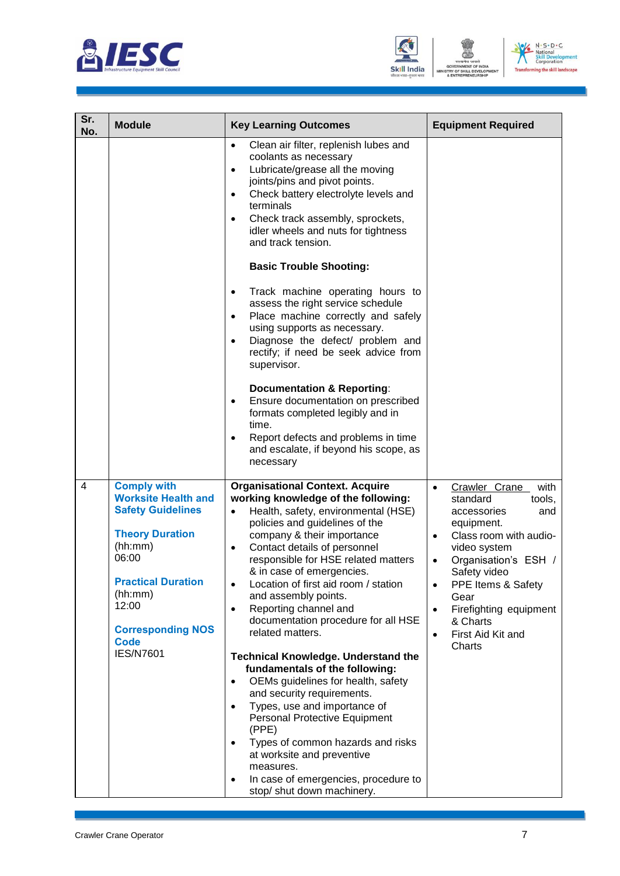





| Sr.<br>No.     | <b>Module</b>                                                                                                                                                                                                                              | <b>Key Learning Outcomes</b>                                                                                                                                                                                                                                                                                                                                                                                                                                                                                                                                                                                                                                                                                                                                                                                                                                                                                                     | <b>Equipment Required</b>                                                                                                                                                                                                                                                                                                                          |
|----------------|--------------------------------------------------------------------------------------------------------------------------------------------------------------------------------------------------------------------------------------------|----------------------------------------------------------------------------------------------------------------------------------------------------------------------------------------------------------------------------------------------------------------------------------------------------------------------------------------------------------------------------------------------------------------------------------------------------------------------------------------------------------------------------------------------------------------------------------------------------------------------------------------------------------------------------------------------------------------------------------------------------------------------------------------------------------------------------------------------------------------------------------------------------------------------------------|----------------------------------------------------------------------------------------------------------------------------------------------------------------------------------------------------------------------------------------------------------------------------------------------------------------------------------------------------|
|                |                                                                                                                                                                                                                                            | Clean air filter, replenish lubes and<br>$\bullet$<br>coolants as necessary<br>Lubricate/grease all the moving<br>$\bullet$<br>joints/pins and pivot points.<br>Check battery electrolyte levels and<br>$\bullet$<br>terminals<br>Check track assembly, sprockets,<br>$\bullet$<br>idler wheels and nuts for tightness<br>and track tension.<br><b>Basic Trouble Shooting:</b><br>Track machine operating hours to<br>$\bullet$<br>assess the right service schedule<br>Place machine correctly and safely<br>$\bullet$<br>using supports as necessary.<br>Diagnose the defect/ problem and<br>$\bullet$<br>rectify; if need be seek advice from<br>supervisor.<br><b>Documentation &amp; Reporting:</b><br>Ensure documentation on prescribed<br>formats completed legibly and in<br>time.<br>Report defects and problems in time<br>and escalate, if beyond his scope, as<br>necessary                                         |                                                                                                                                                                                                                                                                                                                                                    |
| $\overline{4}$ | <b>Comply with</b><br><b>Worksite Health and</b><br><b>Safety Guidelines</b><br><b>Theory Duration</b><br>(hh:mm)<br>06:00<br><b>Practical Duration</b><br>(hh:mm)<br>12:00<br><b>Corresponding NOS</b><br><b>Code</b><br><b>IES/N7601</b> | <b>Organisational Context. Acquire</b><br>working knowledge of the following:<br>Health, safety, environmental (HSE)<br>$\bullet$<br>policies and guidelines of the<br>company & their importance<br>Contact details of personnel<br>$\bullet$<br>responsible for HSE related matters<br>& in case of emergencies.<br>Location of first aid room / station<br>$\bullet$<br>and assembly points.<br>Reporting channel and<br>$\bullet$<br>documentation procedure for all HSE<br>related matters.<br><b>Technical Knowledge. Understand the</b><br>fundamentals of the following:<br>OEMs guidelines for health, safety<br>$\bullet$<br>and security requirements.<br>Types, use and importance of<br>$\bullet$<br>Personal Protective Equipment<br>(PPE)<br>Types of common hazards and risks<br>$\bullet$<br>at worksite and preventive<br>measures.<br>In case of emergencies, procedure to<br>٠<br>stop/ shut down machinery. | Crawler Crane<br>with<br>$\bullet$<br>standard<br>tools,<br>accessories<br>and<br>equipment.<br>Class room with audio-<br>$\bullet$<br>video system<br>Organisation's ESH /<br>$\bullet$<br>Safety video<br>PPE Items & Safety<br>$\bullet$<br>Gear<br>Firefighting equipment<br>$\bullet$<br>& Charts<br>First Aid Kit and<br>$\bullet$<br>Charts |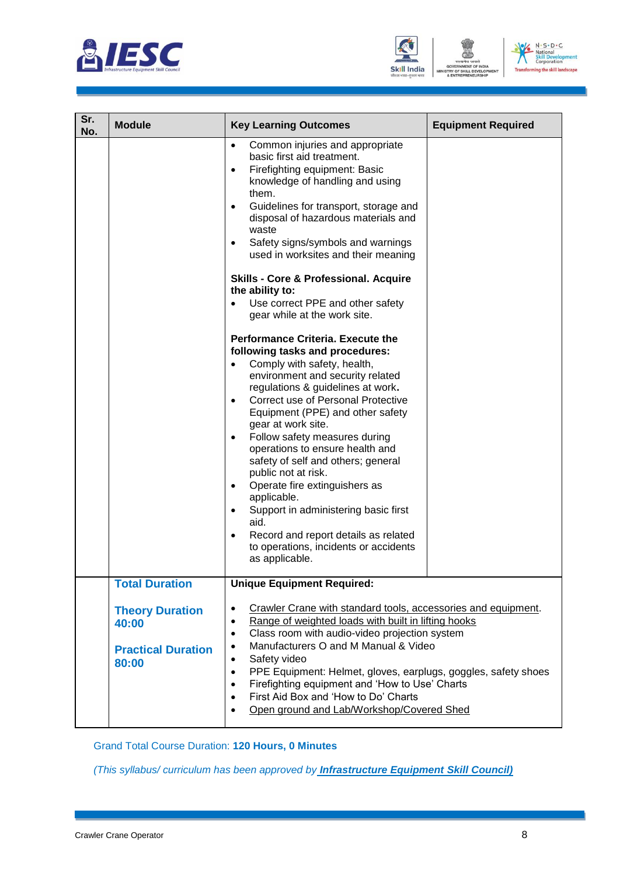





| Sr.<br>No. | <b>Module</b>                                                         | <b>Key Learning Outcomes</b>                                                                                                                                                                                                                                                                                                                                                                                                                                                                                                                                                                                                                                                                    | <b>Equipment Required</b> |
|------------|-----------------------------------------------------------------------|-------------------------------------------------------------------------------------------------------------------------------------------------------------------------------------------------------------------------------------------------------------------------------------------------------------------------------------------------------------------------------------------------------------------------------------------------------------------------------------------------------------------------------------------------------------------------------------------------------------------------------------------------------------------------------------------------|---------------------------|
|            |                                                                       | Common injuries and appropriate<br>$\bullet$<br>basic first aid treatment.<br>Firefighting equipment: Basic<br>$\bullet$<br>knowledge of handling and using<br>them.<br>Guidelines for transport, storage and<br>$\bullet$<br>disposal of hazardous materials and<br>waste<br>Safety signs/symbols and warnings<br>$\bullet$<br>used in worksites and their meaning                                                                                                                                                                                                                                                                                                                             |                           |
|            |                                                                       | <b>Skills - Core &amp; Professional. Acquire</b><br>the ability to:<br>Use correct PPE and other safety<br>$\bullet$<br>gear while at the work site.                                                                                                                                                                                                                                                                                                                                                                                                                                                                                                                                            |                           |
|            |                                                                       | <b>Performance Criteria. Execute the</b><br>following tasks and procedures:<br>Comply with safety, health,<br>environment and security related<br>regulations & guidelines at work.<br><b>Correct use of Personal Protective</b><br>$\bullet$<br>Equipment (PPE) and other safety<br>gear at work site.<br>Follow safety measures during<br>$\bullet$<br>operations to ensure health and<br>safety of self and others; general<br>public not at risk.<br>Operate fire extinguishers as<br>$\bullet$<br>applicable.<br>Support in administering basic first<br>$\bullet$<br>aid.<br>Record and report details as related<br>$\bullet$<br>to operations, incidents or accidents<br>as applicable. |                           |
|            | <b>Total Duration</b>                                                 | <b>Unique Equipment Required:</b>                                                                                                                                                                                                                                                                                                                                                                                                                                                                                                                                                                                                                                                               |                           |
|            | <b>Theory Duration</b><br>40:00<br><b>Practical Duration</b><br>80:00 | Crawler Crane with standard tools, accessories and equipment.<br>$\bullet$<br>Range of weighted loads with built in lifting hooks<br>$\bullet$<br>Class room with audio-video projection system<br>$\bullet$<br>Manufacturers O and M Manual & Video<br>$\bullet$<br>Safety video<br>$\bullet$<br>PPE Equipment: Helmet, gloves, earplugs, goggles, safety shoes<br>$\bullet$<br>Firefighting equipment and 'How to Use' Charts<br>$\bullet$<br>First Aid Box and 'How to Do' Charts<br>$\bullet$<br>Open ground and Lab/Workshop/Covered Shed<br>$\bullet$                                                                                                                                     |                           |

Grand Total Course Duration: **120 Hours, 0 Minutes**

*(This syllabus/ curriculum has been approved by Infrastructure Equipment Skill Council)*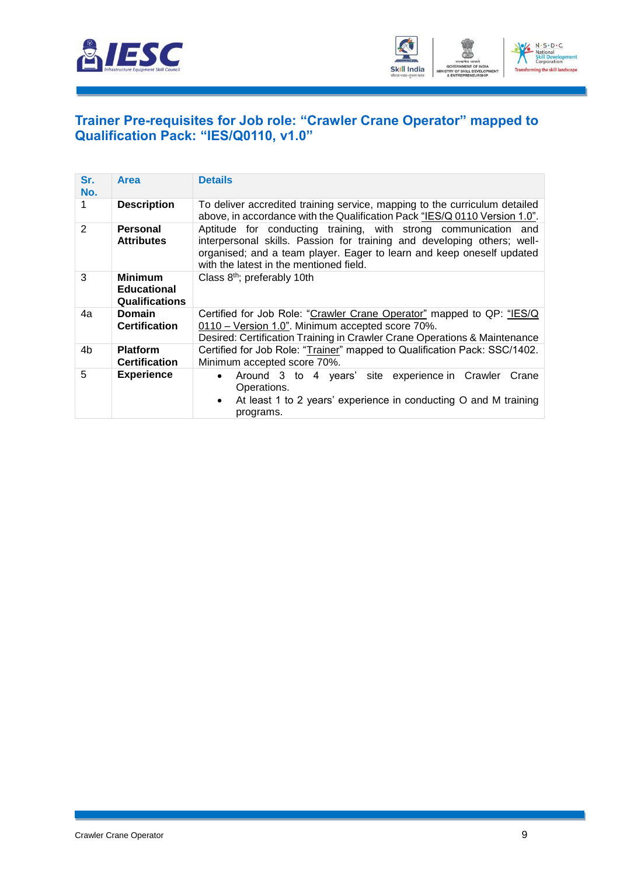



#### <span id="page-11-0"></span>**[Trainer Pre-requisites for Job role: "Crawler Crane Operator" mapped to](#page-2-1)  [Qualification Pack: "IES/Q0110, v1.0"](#page-2-1)**

| Sr.<br>No. | <b>Area</b>                                                   | <b>Details</b>                                                                                                                                                                                                                                                 |
|------------|---------------------------------------------------------------|----------------------------------------------------------------------------------------------------------------------------------------------------------------------------------------------------------------------------------------------------------------|
|            | <b>Description</b>                                            | To deliver accredited training service, mapping to the curriculum detailed<br>above, in accordance with the Qualification Pack "IES/Q 0110 Version 1.0".                                                                                                       |
| 2          | Personal<br><b>Attributes</b>                                 | Aptitude for conducting training, with strong communication and<br>interpersonal skills. Passion for training and developing others; well-<br>organised; and a team player. Eager to learn and keep oneself updated<br>with the latest in the mentioned field. |
| 3          | <b>Minimum</b><br><b>Educational</b><br><b>Qualifications</b> | Class 8 <sup>th</sup> ; preferably 10th                                                                                                                                                                                                                        |
| 4a         | <b>Domain</b><br><b>Certification</b>                         | Certified for Job Role: "Crawler Crane Operator" mapped to QP: "IES/Q<br>0110 - Version 1.0". Minimum accepted score 70%.<br>Desired: Certification Training in Crawler Crane Operations & Maintenance                                                         |
| 4b         | <b>Platform</b><br><b>Certification</b>                       | Certified for Job Role: "Trainer" mapped to Qualification Pack: SSC/1402.<br>Minimum accepted score 70%.                                                                                                                                                       |
| 5          | <b>Experience</b>                                             | Around 3 to 4 years' site experience in Crawler<br>Crane<br>Operations.<br>At least 1 to 2 years' experience in conducting O and M training<br>programs.                                                                                                       |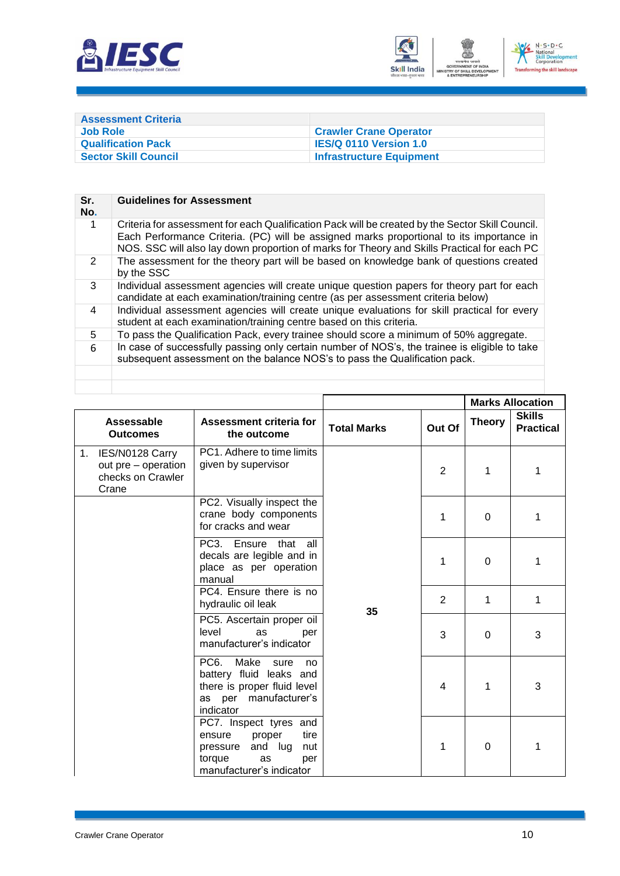



<span id="page-12-0"></span>

| <b>Assessment Criteria</b>  |                                 |
|-----------------------------|---------------------------------|
| Job Role                    | <b>Crawler Crane Operator</b>   |
| <b>Qualification Pack</b>   | <b>IES/Q 0110 Version 1.0</b>   |
| <b>Sector Skill Council</b> | <b>Infrastructure Equipment</b> |

| Criteria for assessment for each Qualification Pack will be created by the Sector Skill Council.<br>Each Performance Criteria. (PC) will be assigned marks proportional to its importance in<br>NOS. SSC will also lay down proportion of marks for Theory and Skills Practical for each PC |
|---------------------------------------------------------------------------------------------------------------------------------------------------------------------------------------------------------------------------------------------------------------------------------------------|
| The assessment for the theory part will be based on knowledge bank of questions created                                                                                                                                                                                                     |
| Individual assessment agencies will create unique question papers for theory part for each<br>candidate at each examination/training centre (as per assessment criteria below)                                                                                                              |
| Individual assessment agencies will create unique evaluations for skill practical for every                                                                                                                                                                                                 |
| To pass the Qualification Pack, every trainee should score a minimum of 50% aggregate.                                                                                                                                                                                                      |
| In case of successfully passing only certain number of NOS's, the trainee is eligible to take<br>subsequent assessment on the balance NOS's to pass the Qualification pack.                                                                                                                 |
|                                                                                                                                                                                                                                                                                             |
|                                                                                                                                                                                                                                                                                             |

|                                                                            |                                                                                                                                         |                    |                |               | <b>Marks Allocation</b>           |
|----------------------------------------------------------------------------|-----------------------------------------------------------------------------------------------------------------------------------------|--------------------|----------------|---------------|-----------------------------------|
| Assessable<br><b>Outcomes</b>                                              | Assessment criteria for<br>the outcome                                                                                                  | <b>Total Marks</b> | Out Of         | <b>Theory</b> | <b>Skills</b><br><b>Practical</b> |
| IES/N0128 Carry<br>1.<br>out pre – operation<br>checks on Crawler<br>Crane | PC1. Adhere to time limits<br>given by supervisor                                                                                       |                    | $\overline{2}$ | 1             | 1                                 |
|                                                                            | PC2. Visually inspect the<br>crane body components<br>for cracks and wear                                                               |                    | 1              | $\Omega$      | 1                                 |
|                                                                            | PC3. Ensure that all<br>decals are legible and in<br>place as per operation<br>manual                                                   |                    | 1              | $\Omega$      | 1                                 |
|                                                                            | PC4. Ensure there is no<br>hydraulic oil leak                                                                                           | 35                 | 2              | 1             | 1                                 |
|                                                                            | PC5. Ascertain proper oil<br>level<br>as<br>per<br>manufacturer's indicator                                                             |                    | 3              | $\Omega$      | 3                                 |
|                                                                            | PC <sub>6</sub> .<br>Make<br>sure<br>no<br>battery fluid leaks and<br>there is proper fluid level<br>as per manufacturer's<br>indicator |                    | 4              | 1             | 3                                 |
|                                                                            | PC7. Inspect tyres and<br>proper<br>tire<br>ensure<br>and lug<br>pressure<br>nut<br>torque<br>as<br>per<br>manufacturer's indicator     |                    | 1              | 0             | 1                                 |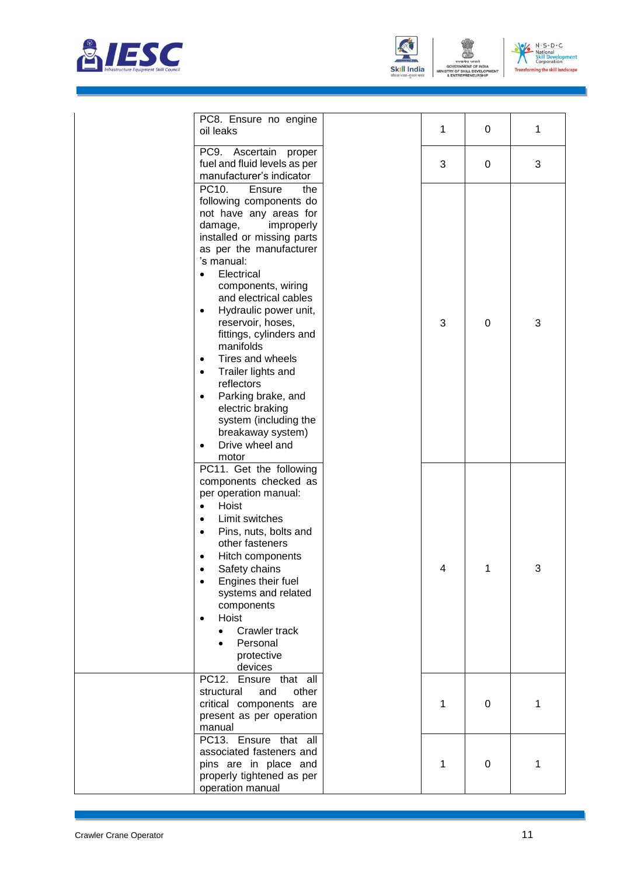





| PC8. Ensure no engine<br>oil leaks                                                                                                                                                                                                                                                                                                                                                                                                                                                                                                                                          | 1 | 0           | 1 |
|-----------------------------------------------------------------------------------------------------------------------------------------------------------------------------------------------------------------------------------------------------------------------------------------------------------------------------------------------------------------------------------------------------------------------------------------------------------------------------------------------------------------------------------------------------------------------------|---|-------------|---|
| PC9. Ascertain proper<br>fuel and fluid levels as per<br>manufacturer's indicator                                                                                                                                                                                                                                                                                                                                                                                                                                                                                           | 3 | 0           | 3 |
| PC10.<br>Ensure<br>the<br>following components do<br>not have any areas for<br>damage,<br>improperly<br>installed or missing parts<br>as per the manufacturer<br>'s manual:<br>Electrical<br>components, wiring<br>and electrical cables<br>Hydraulic power unit,<br>$\bullet$<br>reservoir, hoses,<br>fittings, cylinders and<br>manifolds<br>Tires and wheels<br>$\bullet$<br>Trailer lights and<br>$\bullet$<br>reflectors<br>Parking brake, and<br>$\bullet$<br>electric braking<br>system (including the<br>breakaway system)<br>Drive wheel and<br>$\bullet$<br>motor | 3 | $\mathbf 0$ | 3 |
| PC11. Get the following<br>components checked as<br>per operation manual:<br>Hoist<br>$\bullet$<br>Limit switches<br>$\bullet$<br>Pins, nuts, bolts and<br>$\bullet$<br>other fasteners<br>Hitch components<br>٠<br>Safety chains<br>Engines their fuel<br>systems and related<br>components<br>Hoist<br>Crawler track<br>Personal<br>protective<br>devices                                                                                                                                                                                                                 | 4 | 1           | 3 |
| PC12. Ensure that all<br>and<br>other<br>structural<br>critical components are<br>present as per operation<br>manual                                                                                                                                                                                                                                                                                                                                                                                                                                                        | 1 | 0           | 1 |
| PC13. Ensure that all<br>associated fasteners and<br>pins are in place and<br>properly tightened as per<br>operation manual                                                                                                                                                                                                                                                                                                                                                                                                                                                 | 1 | 0           | 1 |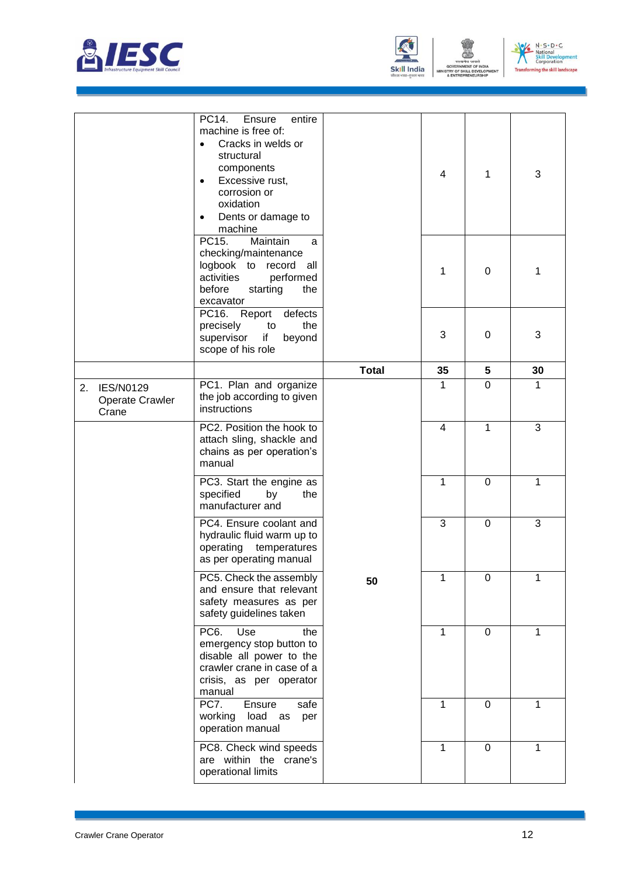





|    |                                              | PC14.<br>entire<br>Ensure<br>machine is free of:<br>Cracks in welds or<br>structural<br>components<br>Excessive rust,<br>corrosion or<br>oxidation<br>Dents or damage to<br>٠<br>machine |              | 4            | 1              | 3  |
|----|----------------------------------------------|------------------------------------------------------------------------------------------------------------------------------------------------------------------------------------------|--------------|--------------|----------------|----|
|    |                                              | PC15.<br>Maintain<br>a<br>checking/maintenance<br>logbook to record all<br>activities<br>performed<br>before<br>starting<br>the<br>excavator                                             |              | 1            | 0              | 1  |
|    |                                              | PC16. Report<br>defects<br>the<br>precisely<br>to<br>if<br>supervisor<br>beyond<br>scope of his role                                                                                     |              | 3            | 0              | 3  |
|    |                                              |                                                                                                                                                                                          | <b>Total</b> | 35           | 5              | 30 |
| 2. | <b>IES/N0129</b><br>Operate Crawler<br>Crane | PC1. Plan and organize<br>the job according to given<br>instructions                                                                                                                     |              | $\mathbf{1}$ | $\overline{0}$ | 1  |
|    |                                              | PC2. Position the hook to<br>attach sling, shackle and<br>chains as per operation's<br>manual                                                                                            |              | 4            | $\mathbf 1$    | 3  |
|    |                                              | PC3. Start the engine as<br>specified<br>by<br>the<br>manufacturer and                                                                                                                   |              | 1            | $\Omega$       | 1  |
|    |                                              | PC4. Ensure coolant and<br>hydraulic fluid warm up to<br>operating temperatures<br>as per operating manual                                                                               |              | 3            | $\overline{0}$ | 3  |
|    |                                              | PC5. Check the assembly<br>and ensure that relevant<br>safety measures as per<br>safety guidelines taken                                                                                 | 50           | 1            | 0              | 1  |
|    |                                              | PC <sub>6</sub> .<br>Use<br>the<br>emergency stop button to<br>disable all power to the<br>crawler crane in case of a<br>crisis, as per operator<br>manual                               |              | 1            | $\overline{0}$ | 1  |
|    |                                              | PC7.<br>Ensure<br>safe<br>working<br>load as<br>per<br>operation manual                                                                                                                  |              | 1            | $\overline{0}$ | 1  |
|    |                                              | PC8. Check wind speeds<br>are within the crane's<br>operational limits                                                                                                                   |              | $\mathbf{1}$ | $\mathbf 0$    | 1  |
|    |                                              |                                                                                                                                                                                          |              |              |                |    |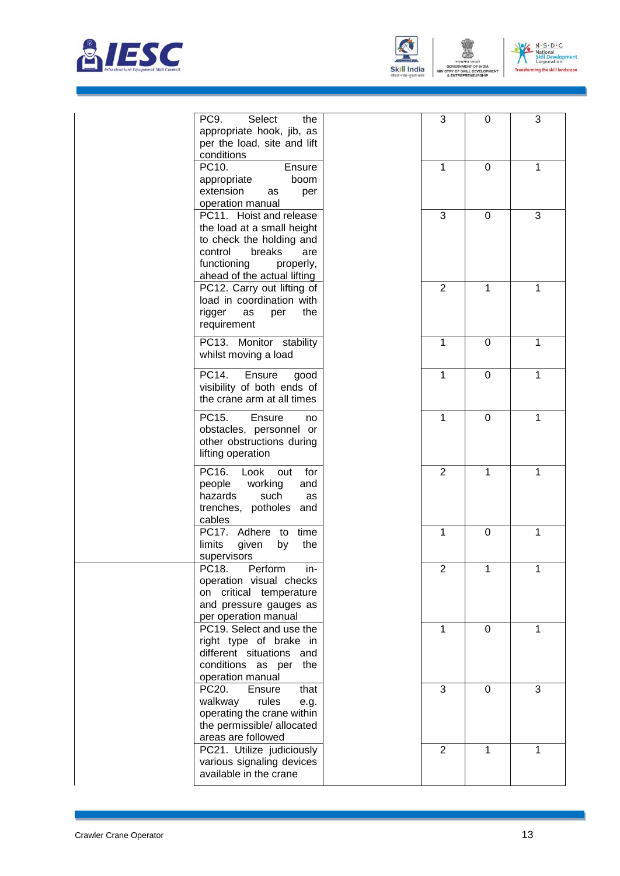



STRY OF S

ILL DEVELOP WENT



| PC9.<br>Select<br>the<br>appropriate hook, jib, as<br>per the load, site and lift<br>conditions                                                                          | 3              | 0           | 3            |
|--------------------------------------------------------------------------------------------------------------------------------------------------------------------------|----------------|-------------|--------------|
| PC10.<br>Ensure<br>appropriate<br>boom<br>extension<br>per<br>as<br>operation manual                                                                                     | 1              | $\Omega$    | 1            |
| PC11. Hoist and release<br>the load at a small height<br>to check the holding and<br>control<br>breaks<br>are<br>functioning<br>properly,<br>ahead of the actual lifting | $\mathbf{3}$   | 0           | 3            |
| PC12. Carry out lifting of<br>load in coordination with<br>rigger<br>the<br>as<br>per<br>requirement                                                                     | $\overline{2}$ | 1           | 1            |
| PC13. Monitor stability<br>whilst moving a load                                                                                                                          | $\mathbf{1}$   | 0           | 1            |
| PC14.<br>Ensure<br>good<br>visibility of both ends of<br>the crane arm at all times                                                                                      | $\mathbf{1}$   | $\mathbf 0$ | 1            |
| PC15.<br>Ensure<br>no<br>obstacles, personnel or<br>other obstructions during<br>lifting operation                                                                       | $\mathbf{1}$   | $\mathbf 0$ | 1            |
| PC16.<br>Look<br>for<br>out<br>people<br>working<br>and<br>hazards<br>such<br>as<br>trenches, potholes<br>and<br>cables                                                  | $\overline{2}$ | 1           | 1            |
| PC17. Adhere to<br>time<br>limits<br>the<br>given<br>by<br>supervisors                                                                                                   | $\mathbf{1}$   | $\mathbf 0$ | 1            |
| PC18.<br>Perform<br>in-<br>operation visual checks<br>on critical temperature<br>and pressure gauges as<br>per operation manual                                          | $\overline{2}$ | 1           | 1            |
| PC19. Select and use the<br>right type of brake in<br>different situations and<br>conditions as per the<br>operation manual                                              | $\mathbf{1}$   | $\mathbf 0$ | $\mathbf{1}$ |
| PC20.<br>Ensure<br>that<br>walkway<br>rules<br>e.g.<br>operating the crane within<br>the permissible/ allocated<br>areas are followed                                    | 3              | $\mathbf 0$ | 3            |
| PC21. Utilize judiciously<br>various signaling devices<br>available in the crane                                                                                         | $\overline{2}$ | 1           | 1            |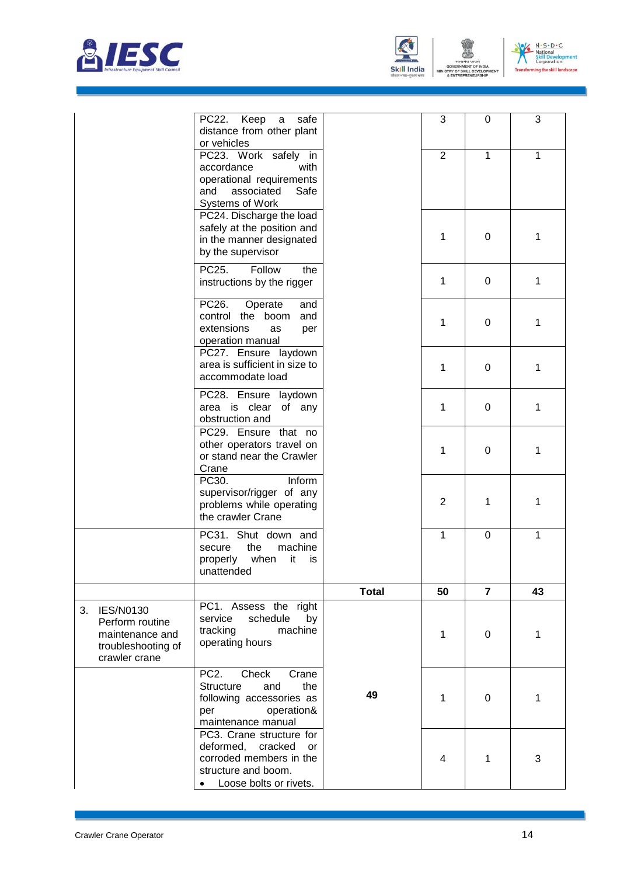



ENT



|                                                                                               | PC22.<br>Keep<br>safe<br>a<br>distance from other plant<br>or vehicles                                                                       |              | 3              | 0              | 3            |
|-----------------------------------------------------------------------------------------------|----------------------------------------------------------------------------------------------------------------------------------------------|--------------|----------------|----------------|--------------|
|                                                                                               | PC23. Work safely in<br>accordance<br>with<br>operational requirements<br>associated<br>Safe<br>and<br><b>Systems of Work</b>                |              | $\overline{2}$ | $\mathbf{1}$   | $\mathbf{1}$ |
|                                                                                               | PC24. Discharge the load<br>safely at the position and<br>in the manner designated<br>by the supervisor                                      |              | 1              | 0              | 1            |
|                                                                                               | PC25.<br>Follow<br>the<br>instructions by the rigger                                                                                         |              | 1              | 0              | 1            |
|                                                                                               | PC26.<br>Operate<br>and<br>control the boom<br>and<br>extensions<br>as<br>per<br>operation manual                                            |              | 1              | 0              | 1            |
|                                                                                               | PC27. Ensure laydown<br>area is sufficient in size to<br>accommodate load                                                                    |              | 1              | 0              | 1            |
|                                                                                               | PC28. Ensure laydown<br>area is clear<br>of any<br>obstruction and                                                                           |              | 1              | 0              | 1            |
|                                                                                               | PC29. Ensure that no<br>other operators travel on<br>or stand near the Crawler<br>Crane                                                      |              | 1              | 0              | 1            |
|                                                                                               | PC30.<br>Inform<br>supervisor/rigger of any<br>problems while operating<br>the crawler Crane                                                 |              | $\overline{2}$ | 1              | 1            |
|                                                                                               | PC31. Shut down and<br>the<br>machine<br>secure<br>properly<br>when<br>it<br>İS<br>unattended                                                |              | 1              | 0              | 1            |
|                                                                                               |                                                                                                                                              | <b>Total</b> | 50             | $\overline{7}$ | 43           |
| <b>IES/N0130</b><br>Perform routine<br>maintenance and<br>troubleshooting of<br>crawler crane | PC1. Assess the right<br>schedule<br>by<br>service<br>tracking<br>machine<br>operating hours                                                 |              | 1              | 0              | 1            |
|                                                                                               | PC <sub>2</sub> .<br>Check<br>Crane<br><b>Structure</b><br>and<br>the<br>following accessories as<br>operation&<br>per<br>maintenance manual | 49           | 1              | 0              | 1            |
|                                                                                               | PC3. Crane structure for<br>deformed, cracked<br>or<br>corroded members in the<br>structure and boom.<br>Loose bolts or rivets.              |              | 4              | 1              | 3            |

 $3.$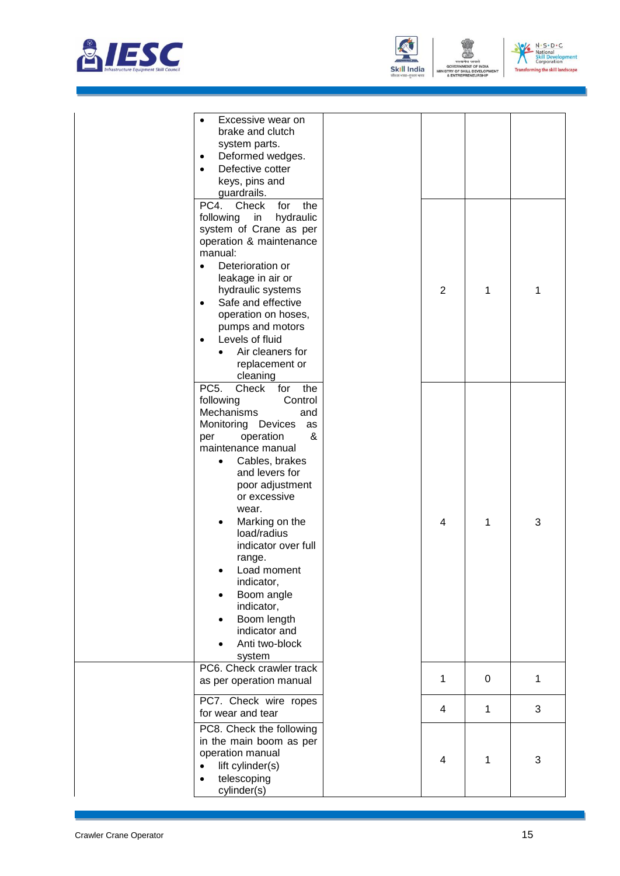



| manual:<br>Deterioration or<br>$\bullet$<br>leakage in air or<br>hydraulic systems<br>Safe and effective<br>$\bullet$<br>operation on hoses,<br>pumps and motors<br>Levels of fluid<br>$\bullet$<br>Air cleaners for<br>replacement or<br>cleaning<br>PC <sub>5</sub> .<br>for<br>Check<br>the<br>following<br>Control<br>Mechanisms<br>and<br>Monitoring Devices<br>as<br>&<br>operation<br>per<br>maintenance manual | $\overline{2}$ | 1           | 1 |
|------------------------------------------------------------------------------------------------------------------------------------------------------------------------------------------------------------------------------------------------------------------------------------------------------------------------------------------------------------------------------------------------------------------------|----------------|-------------|---|
|                                                                                                                                                                                                                                                                                                                                                                                                                        |                |             |   |
| Cables, brakes<br>and levers for<br>poor adjustment<br>or excessive<br>wear.<br>Marking on the<br>load/radius<br>indicator over full<br>range.<br>Load moment<br>indicator,<br>Boom angle<br>indicator,<br>Boom length<br>indicator and<br>Anti two-block<br>system                                                                                                                                                    | 4              | 1           | 3 |
| PC6. Check crawler track<br>as per operation manual                                                                                                                                                                                                                                                                                                                                                                    | 1              | $\mathbf 0$ | 1 |
| PC7. Check wire ropes<br>for wear and tear                                                                                                                                                                                                                                                                                                                                                                             | 4              | 1           | 3 |
| PC8. Check the following<br>in the main boom as per<br>operation manual<br>lift cylinder(s)<br>telescoping<br>$\bullet$<br>cylinder(s)                                                                                                                                                                                                                                                                                 | 4              | 1           | 3 |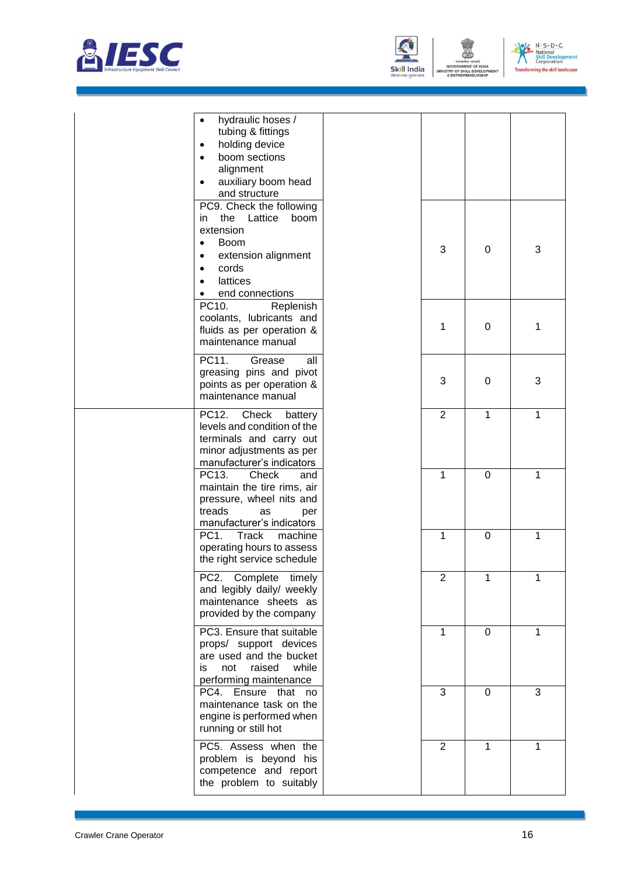





|                        | hydraulic hoses /<br>tubing & fittings<br>holding device<br>$\bullet$<br>boom sections<br>$\bullet$<br>alignment<br>auxiliary boom head<br>$\bullet$<br>and structure<br>PC9. Check the following<br>the<br>Lattice<br>boom<br>in.<br>extension |                |                  |              |
|------------------------|-------------------------------------------------------------------------------------------------------------------------------------------------------------------------------------------------------------------------------------------------|----------------|------------------|--------------|
|                        | <b>Boom</b><br>$\bullet$<br>extension alignment<br>٠<br>cords<br>$\bullet$<br>lattices<br>$\bullet$<br>end connections<br>٠                                                                                                                     | 3              | 0                | 3            |
|                        | PC10.<br>Replenish<br>coolants, lubricants and<br>fluids as per operation &<br>maintenance manual                                                                                                                                               | 1              | $\boldsymbol{0}$ | 1            |
|                        | PC11.<br>all<br>Grease<br>greasing pins and pivot<br>points as per operation &<br>maintenance manual                                                                                                                                            | 3              | $\mathbf 0$      | 3            |
|                        | PC12.<br>Check<br>battery<br>levels and condition of the<br>terminals and carry out<br>minor adjustments as per<br>manufacturer's indicators                                                                                                    | $\overline{2}$ | 1                | 1            |
|                        | PC13.<br>Check<br>and<br>maintain the tire rims, air<br>pressure, wheel nits and<br>treads<br>as<br>per<br>manufacturer's indicators                                                                                                            | 1              | 0                | 1            |
|                        | PC <sub>1</sub> .<br><b>Track</b><br>machine<br>operating hours to assess<br>the right service schedule                                                                                                                                         | 1              | $\mathbf 0$      | $\mathbf{1}$ |
|                        | PC2. Complete timely<br>and legibly daily/ weekly<br>maintenance sheets as<br>provided by the company                                                                                                                                           | $\overline{c}$ | 1                | 1            |
|                        | PC3. Ensure that suitable<br>props/ support devices<br>are used and the bucket<br>while<br>raised<br>not<br>is.<br>performing maintenance                                                                                                       | 1              | 0                | $\mathbf{1}$ |
|                        | PC4. Ensure that no<br>maintenance task on the<br>engine is performed when<br>running or still hot                                                                                                                                              | 3              | $\mathbf 0$      | 3            |
|                        | PC5. Assess when the<br>problem is beyond his<br>competence and report<br>the problem to suitably                                                                                                                                               | $\overline{2}$ | 1                | 1            |
| Crawler Crane Operator |                                                                                                                                                                                                                                                 |                |                  | 16           |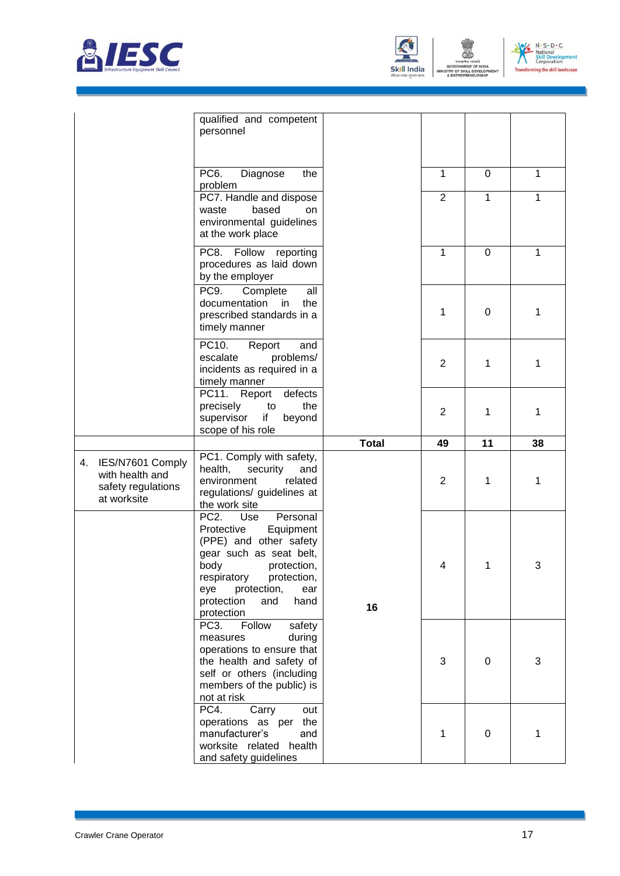





|    |                                                                          | qualified and competent<br>personnel                                                                                                                                                                                                    |              |                |             |    |
|----|--------------------------------------------------------------------------|-----------------------------------------------------------------------------------------------------------------------------------------------------------------------------------------------------------------------------------------|--------------|----------------|-------------|----|
|    |                                                                          | PC6.<br>Diagnose<br>the<br>problem                                                                                                                                                                                                      |              | 1              | 0           | 1  |
|    |                                                                          | PC7. Handle and dispose<br>based<br>waste<br>on<br>environmental guidelines<br>at the work place                                                                                                                                        |              | $\overline{2}$ | 1           | 1  |
|    |                                                                          | PC8. Follow<br>reporting<br>procedures as laid down<br>by the employer                                                                                                                                                                  |              | 1              | 0           | 1  |
|    |                                                                          | PC9.<br>Complete<br>all<br>documentation<br>in in<br>the<br>prescribed standards in a<br>timely manner                                                                                                                                  |              | 1              | $\mathbf 0$ | 1  |
|    |                                                                          | PC10.<br>Report<br>and<br>escalate<br>problems/<br>incidents as required in a<br>timely manner                                                                                                                                          |              | $\overline{2}$ | 1           | 1  |
|    |                                                                          | PC11.<br>defects<br>Report<br>the<br>precisely<br>to<br>supervisor<br>if<br>beyond<br>scope of his role                                                                                                                                 |              | 2              | 1           | 1  |
|    |                                                                          |                                                                                                                                                                                                                                         |              |                |             |    |
|    |                                                                          |                                                                                                                                                                                                                                         | <b>Total</b> | 49             | 11          | 38 |
| 4. | IES/N7601 Comply<br>with health and<br>safety regulations<br>at worksite | PC1. Comply with safety,<br>health,<br>security<br>and<br>environment<br>related<br>regulations/ guidelines at<br>the work site                                                                                                         |              | $\overline{2}$ | 1           | 1  |
|    |                                                                          | $PC2$ .<br>Use<br>Personal<br>Protective<br>Equipment<br>(PPE) and other safety<br>gear such as seat belt,<br>body<br>protection,<br>respiratory<br>protection,<br>protection,<br>eye<br>ear<br>hand<br>protection<br>and<br>protection | 16           | 4              | 1           | 3  |
|    |                                                                          | PC3.<br>Follow<br>safety<br>during<br>measures<br>operations to ensure that<br>the health and safety of<br>self or others (including<br>members of the public) is<br>not at risk<br>PC4.                                                |              | 3              | 0           | 3  |